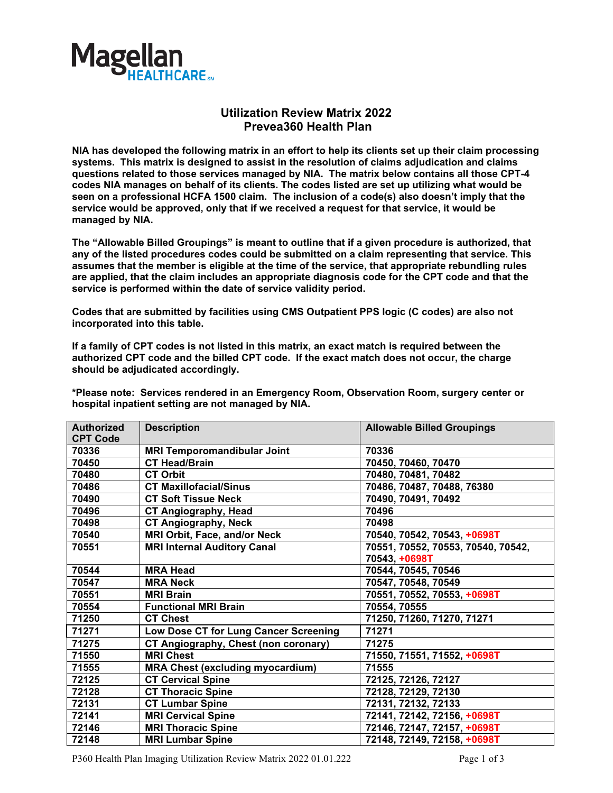

## **Utilization Review Matrix 2022 Prevea360 Health Plan**

**NIA has developed the following matrix in an effort to help its clients set up their claim processing systems. This matrix is designed to assist in the resolution of claims adjudication and claims questions related to those services managed by NIA. The matrix below contains all those CPT-4 codes NIA manages on behalf of its clients. The codes listed are set up utilizing what would be seen on a professional HCFA 1500 claim. The inclusion of a code(s) also doesn't imply that the service would be approved, only that if we received a request for that service, it would be managed by NIA.** 

**The "Allowable Billed Groupings" is meant to outline that if a given procedure is authorized, that any of the listed procedures codes could be submitted on a claim representing that service. This assumes that the member is eligible at the time of the service, that appropriate rebundling rules are applied, that the claim includes an appropriate diagnosis code for the CPT code and that the service is performed within the date of service validity period.**

**Codes that are submitted by facilities using CMS Outpatient PPS logic (C codes) are also not incorporated into this table.**

**If a family of CPT codes is not listed in this matrix, an exact match is required between the authorized CPT code and the billed CPT code. If the exact match does not occur, the charge should be adjudicated accordingly.**

**\*Please note: Services rendered in an Emergency Room, Observation Room, surgery center or hospital inpatient setting are not managed by NIA.**

| <b>Authorized</b><br><b>CPT Code</b> | <b>Description</b>                      | <b>Allowable Billed Groupings</b>  |
|--------------------------------------|-----------------------------------------|------------------------------------|
| 70336                                | <b>MRI Temporomandibular Joint</b>      | 70336                              |
| 70450                                | <b>CT Head/Brain</b>                    | 70450, 70460, 70470                |
| 70480                                | <b>CT Orbit</b>                         | 70480, 70481, 70482                |
| 70486                                | <b>CT Maxillofacial/Sinus</b>           | 70486, 70487, 70488, 76380         |
| 70490                                | <b>CT Soft Tissue Neck</b>              | 70490, 70491, 70492                |
| 70496                                | <b>CT Angiography, Head</b>             | 70496                              |
| 70498                                | <b>CT Angiography, Neck</b>             | 70498                              |
| 70540                                | MRI Orbit, Face, and/or Neck            | 70540, 70542, 70543, +0698T        |
| 70551                                | <b>MRI Internal Auditory Canal</b>      | 70551, 70552, 70553, 70540, 70542, |
|                                      |                                         | 70543, +0698T                      |
| 70544                                | <b>MRA Head</b>                         | 70544, 70545, 70546                |
| 70547                                | <b>MRA Neck</b>                         | 70547, 70548, 70549                |
| 70551                                | <b>MRI Brain</b>                        | 70551, 70552, 70553, +0698T        |
| 70554                                | <b>Functional MRI Brain</b>             | 70554, 70555                       |
| 71250                                | <b>CT Chest</b>                         | 71250, 71260, 71270, 71271         |
| 71271                                | Low Dose CT for Lung Cancer Screening   | 71271                              |
| 71275                                | CT Angiography, Chest (non coronary)    | 71275                              |
| 71550                                | <b>MRI Chest</b>                        | 71550, 71551, 71552, +0698T        |
| 71555                                | <b>MRA Chest (excluding myocardium)</b> | 71555                              |
| 72125                                | <b>CT Cervical Spine</b>                | 72125, 72126, 72127                |
| 72128                                | <b>CT Thoracic Spine</b>                | 72128, 72129, 72130                |
| 72131                                | <b>CT Lumbar Spine</b>                  | 72131, 72132, 72133                |
| 72141                                | <b>MRI Cervical Spine</b>               | 72141, 72142, 72156, +0698T        |
| 72146                                | <b>MRI Thoracic Spine</b>               | 72146, 72147, 72157, +0698T        |
| 72148                                | <b>MRI Lumbar Spine</b>                 | 72148, 72149, 72158, +0698T        |

P360 Health Plan Imaging Utilization Review Matrix 2022 01.01.222 Page 1 of 3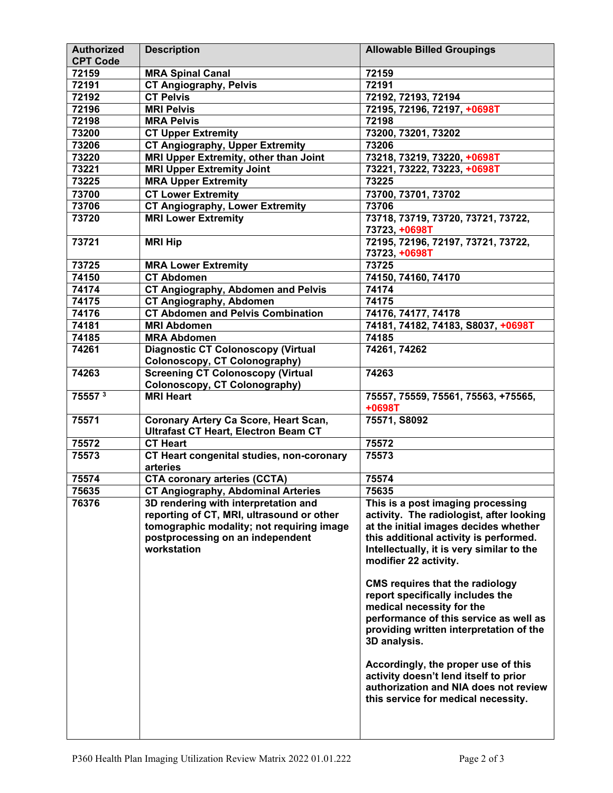| <b>Authorized</b>  | <b>Description</b>                           | <b>Allowable Billed Groupings</b>         |
|--------------------|----------------------------------------------|-------------------------------------------|
| <b>CPT Code</b>    |                                              |                                           |
| 72159              | <b>MRA Spinal Canal</b>                      | 72159                                     |
| 72191              | <b>CT Angiography, Pelvis</b>                | 72191                                     |
| 72192              | <b>CT Pelvis</b>                             | 72192, 72193, 72194                       |
| 72196              | <b>MRI Pelvis</b>                            | 72195, 72196, 72197, +0698T               |
| 72198              | <b>MRA Pelvis</b>                            | 72198                                     |
| 73200              | <b>CT Upper Extremity</b>                    | 73200, 73201, 73202                       |
| 73206              | <b>CT Angiography, Upper Extremity</b>       | 73206                                     |
| 73220              | MRI Upper Extremity, other than Joint        | 73218, 73219, 73220, +0698T               |
| 73221              | <b>MRI Upper Extremity Joint</b>             | 73221, 73222, 73223, +0698T               |
| 73225              | <b>MRA Upper Extremity</b>                   | 73225                                     |
| 73700              | <b>CT Lower Extremity</b>                    | 73700, 73701, 73702                       |
| 73706              | <b>CT Angiography, Lower Extremity</b>       | 73706                                     |
| 73720              | <b>MRI Lower Extremity</b>                   | 73718, 73719, 73720, 73721, 73722,        |
|                    |                                              | 73723, +0698T                             |
| 73721              | <b>MRI Hip</b>                               | 72195, 72196, 72197, 73721, 73722,        |
|                    |                                              | 73723, +0698T                             |
| 73725              | <b>MRA Lower Extremity</b>                   | 73725                                     |
| 74150              | <b>CT Abdomen</b>                            | 74150, 74160, 74170                       |
| 74174              | <b>CT Angiography, Abdomen and Pelvis</b>    | 74174                                     |
| 74175              | <b>CT Angiography, Abdomen</b>               | 74175                                     |
| 74176              | <b>CT Abdomen and Pelvis Combination</b>     | 74176, 74177, 74178                       |
| 74181              | <b>MRI Abdomen</b>                           | 74181, 74182, 74183, S8037, +0698T        |
| 74185              | <b>MRA Abdomen</b>                           | 74185                                     |
| 74261              | <b>Diagnostic CT Colonoscopy (Virtual</b>    | 74261, 74262                              |
|                    | Colonoscopy, CT Colonography)                |                                           |
| 74263              | <b>Screening CT Colonoscopy (Virtual</b>     | 74263                                     |
|                    | <b>Colonoscopy, CT Colonography)</b>         |                                           |
| 75557 <sup>3</sup> | <b>MRI Heart</b>                             | 75557, 75559, 75561, 75563, +75565,       |
|                    |                                              | +0698T                                    |
| 75571              | <b>Coronary Artery Ca Score, Heart Scan,</b> | 75571, S8092                              |
|                    | <b>Ultrafast CT Heart, Electron Beam CT</b>  |                                           |
| 75572              | <b>CT Heart</b>                              | 75572                                     |
| 75573              | CT Heart congenital studies, non-coronary    | 75573                                     |
|                    | arteries                                     |                                           |
| 75574              | <b>CTA coronary arteries (CCTA)</b>          | 75574                                     |
| 75635              | <b>CT Angiography, Abdominal Arteries</b>    | 75635                                     |
| 76376              | 3D rendering with interpretation and         | This is a post imaging processing         |
|                    | reporting of CT, MRI, ultrasound or other    | activity. The radiologist, after looking  |
|                    |                                              | at the initial images decides whether     |
|                    | tomographic modality; not requiring image    |                                           |
|                    | postprocessing on an independent             | this additional activity is performed.    |
|                    | workstation                                  | Intellectually, it is very similar to the |
|                    |                                              | modifier 22 activity.                     |
|                    |                                              |                                           |
|                    |                                              | <b>CMS requires that the radiology</b>    |
|                    |                                              | report specifically includes the          |
|                    |                                              | medical necessity for the                 |
|                    |                                              | performance of this service as well as    |
|                    |                                              | providing written interpretation of the   |
|                    |                                              | 3D analysis.                              |
|                    |                                              |                                           |
|                    |                                              | Accordingly, the proper use of this       |
|                    |                                              | activity doesn't lend itself to prior     |
|                    |                                              | authorization and NIA does not review     |
|                    |                                              | this service for medical necessity.       |
|                    |                                              |                                           |
|                    |                                              |                                           |
|                    |                                              |                                           |